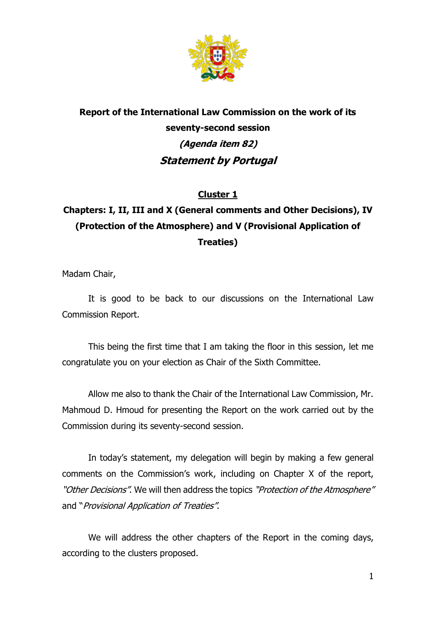

# **Report of the International Law Commission on the work of its seventy-second session (Agenda item 82) Statement by Portugal**

### **Cluster 1**

## **Chapters: I, II, III and X (General comments and Other Decisions), IV (Protection of the Atmosphere) and V (Provisional Application of Treaties)**

Madam Chair,

It is good to be back to our discussions on the International Law Commission Report.

This being the first time that I am taking the floor in this session, let me congratulate you on your election as Chair of the Sixth Committee.

Allow me also to thank the Chair of the International Law Commission, Mr. Mahmoud D. Hmoud for presenting the Report on the work carried out by the Commission during its seventy-second session.

In today's statement, my delegation will begin by making a few general comments on the Commission's work, including on Chapter X of the report, "Other Decisions". We will then address the topics "Protection of the Atmosphere" and "Provisional Application of Treaties".

We will address the other chapters of the Report in the coming days, according to the clusters proposed.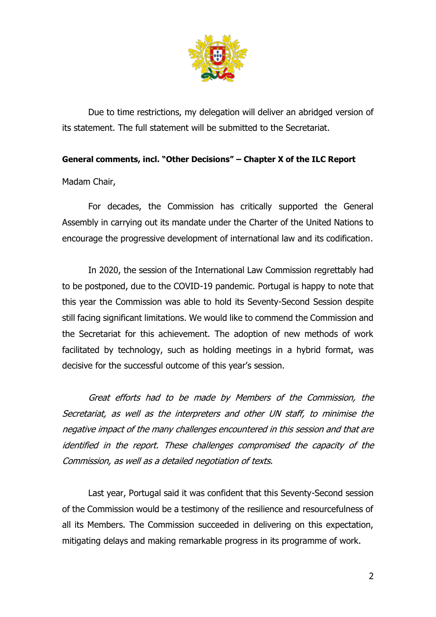

Due to time restrictions, my delegation will deliver an abridged version of its statement. The full statement will be submitted to the Secretariat.

#### **General comments, incl. "Other Decisions" – Chapter X of the ILC Report**

Madam Chair,

For decades, the Commission has critically supported the General Assembly in carrying out its mandate under the Charter of the United Nations to encourage the progressive development of international law and its codification.

In 2020, the session of the International Law Commission regrettably had to be postponed, due to the COVID-19 pandemic. Portugal is happy to note that this year the Commission was able to hold its Seventy-Second Session despite still facing significant limitations. We would like to commend the Commission and the Secretariat for this achievement. The adoption of new methods of work facilitated by technology, such as holding meetings in a hybrid format, was decisive for the successful outcome of this year's session.

Great efforts had to be made by Members of the Commission, the Secretariat, as well as the interpreters and other UN staff, to minimise the negative impact of the many challenges encountered in this session and that are identified in the report. These challenges compromised the capacity of the Commission, as well as a detailed negotiation of texts.

Last year, Portugal said it was confident that this Seventy-Second session of the Commission would be a testimony of the resilience and resourcefulness of all its Members. The Commission succeeded in delivering on this expectation, mitigating delays and making remarkable progress in its programme of work.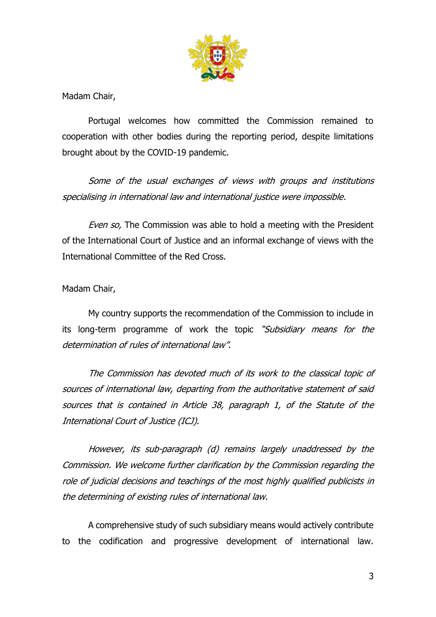

Madam Chair,

Portugal welcomes how committed the Commission remained to cooperation with other bodies during the reporting period, despite limitations brought about by the COVID-19 pandemic.

Some of the usual exchanges of views with groups and institutions specialising in international law and international justice were impossible.

Even so, The Commission was able to hold a meeting with the President of the International Court of Justice and an informal exchange of views with the International Committee of the Red Cross.

Madam Chair,

My country supports the recommendation of the Commission to include in its long-term programme of work the topic "Subsidiary means for the determination of rules of international law".

The Commission has devoted much of its work to the classical topic of sources of international law, departing from the authoritative statement of said sources that is contained in Article 38, paragraph 1, of the Statute of the International Court of Justice (ICJ).

However, its sub-paragraph (d) remains largely unaddressed by the Commission. We welcome further clarification by the Commission regarding the role of judicial decisions and teachings of the most highly qualified publicists in the determining of existing rules of international law.

A comprehensive study of such subsidiary means would actively contribute to the codification and progressive development of international law.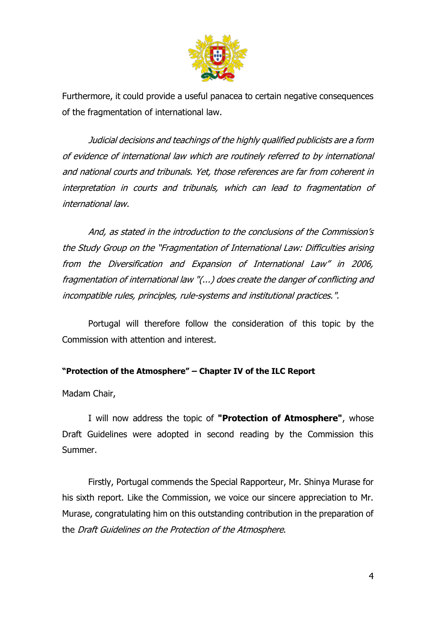

Furthermore, it could provide a useful panacea to certain negative consequences of the fragmentation of international law.

Judicial decisions and teachings of the highly qualified publicists are a form of evidence of international law which are routinely referred to by international and national courts and tribunals. Yet, those references are far from coherent in interpretation in courts and tribunals, which can lead to fragmentation of international law.

And, as stated in the introduction to the conclusions of the Commission's the Study Group on the "Fragmentation of International Law: Difficulties arising from the Diversification and Expansion of International Law" in 2006, fragmentation of international law "(...) does create the danger of conflicting and incompatible rules, principles, rule-systems and institutional practices.".

Portugal will therefore follow the consideration of this topic by the Commission with attention and interest.

#### **"Protection of the Atmosphere" – Chapter IV of the ILC Report**

Madam Chair,

I will now address the topic of **"Protection of Atmosphere"**, whose Draft Guidelines were adopted in second reading by the Commission this Summer.

Firstly, Portugal commends the Special Rapporteur, Mr. Shinya Murase for his sixth report. Like the Commission, we voice our sincere appreciation to Mr. Murase, congratulating him on this outstanding contribution in the preparation of the Draft Guidelines on the Protection of the Atmosphere.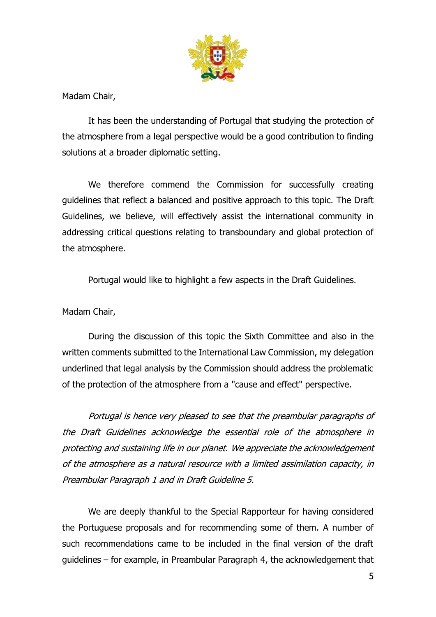

Madam Chair,

It has been the understanding of Portugal that studying the protection of the atmosphere from a legal perspective would be a good contribution to finding solutions at a broader diplomatic setting.

We therefore commend the Commission for successfully creating guidelines that reflect a balanced and positive approach to this topic. The Draft Guidelines, we believe, will effectively assist the international community in addressing critical questions relating to transboundary and global protection of the atmosphere.

Portugal would like to highlight a few aspects in the Draft Guidelines.

Madam Chair,

During the discussion of this topic the Sixth Committee and also in the written comments submitted to the International Law Commission, my delegation underlined that legal analysis by the Commission should address the problematic of the protection of the atmosphere from a "cause and effect" perspective.

Portugal is hence very pleased to see that the preambular paragraphs of the Draft Guidelines acknowledge the essential role of the atmosphere in protecting and sustaining life in our planet. We appreciate the acknowledgement of the atmosphere as a natural resource with a limited assimilation capacity, in Preambular Paragraph 1 and in Draft Guideline 5.

We are deeply thankful to the Special Rapporteur for having considered the Portuguese proposals and for recommending some of them. A number of such recommendations came to be included in the final version of the draft guidelines – for example, in Preambular Paragraph 4, the acknowledgement that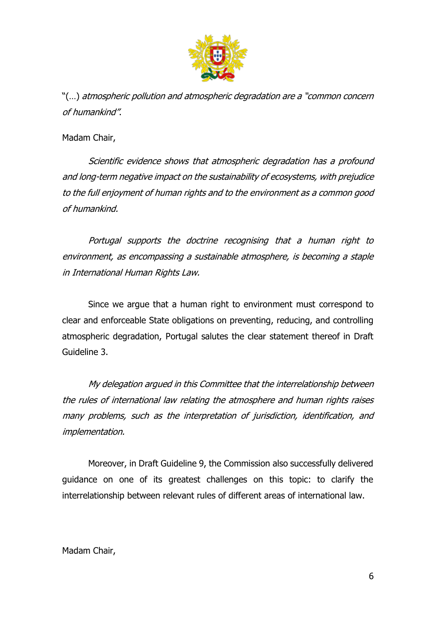

"(…) atmospheric pollution and atmospheric degradation are a "common concern of humankind".

Madam Chair,

Scientific evidence shows that atmospheric degradation has a profound and long-term negative impact on the sustainability of ecosystems, with prejudice to the full enjoyment of human rights and to the environment as a common good of humankind.

Portugal supports the doctrine recognising that a human right to environment, as encompassing a sustainable atmosphere, is becoming a staple in International Human Rights Law.

Since we argue that a human right to environment must correspond to clear and enforceable State obligations on preventing, reducing, and controlling atmospheric degradation, Portugal salutes the clear statement thereof in Draft Guideline 3.

My delegation argued in this Committee that the interrelationship between the rules of international law relating the atmosphere and human rights raises many problems, such as the interpretation of jurisdiction, identification, and implementation.

Moreover, in Draft Guideline 9, the Commission also successfully delivered guidance on one of its greatest challenges on this topic: to clarify the interrelationship between relevant rules of different areas of international law.

#### Madam Chair,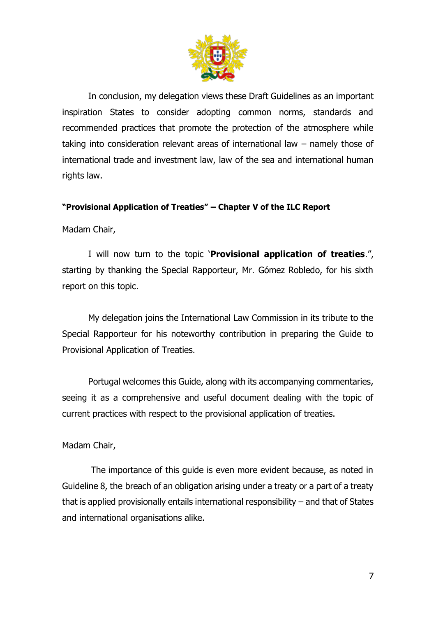

In conclusion, my delegation views these Draft Guidelines as an important inspiration States to consider adopting common norms, standards and recommended practices that promote the protection of the atmosphere while taking into consideration relevant areas of international law – namely those of international trade and investment law, law of the sea and international human rights law.

#### **"Provisional Application of Treaties" – Chapter V of the ILC Report**

Madam Chair,

I will now turn to the topic '**Provisional application of treaties**.", starting by thanking the Special Rapporteur, Mr. Gómez Robledo, for his sixth report on this topic.

My delegation joins the International Law Commission in its tribute to the Special Rapporteur for his noteworthy contribution in preparing the Guide to Provisional Application of Treaties.

Portugal welcomes this Guide, along with its accompanying commentaries, seeing it as a comprehensive and useful document dealing with the topic of current practices with respect to the provisional application of treaties.

#### Madam Chair,

The importance of this guide is even more evident because, as noted in Guideline 8, the breach of an obligation arising under a treaty or a part of a treaty that is applied provisionally entails international responsibility – and that of States and international organisations alike.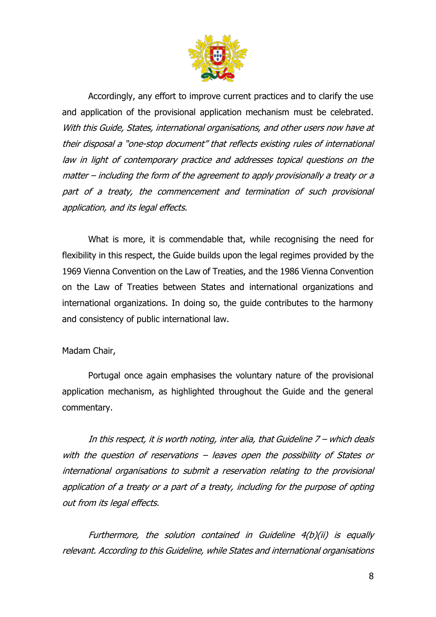

Accordingly, any effort to improve current practices and to clarify the use and application of the provisional application mechanism must be celebrated. With this Guide, States, international organisations, and other users now have at their disposal a "one-stop document" that reflects existing rules of international law in light of contemporary practice and addresses topical questions on the matter – including the form of the agreement to apply provisionally a treaty or <sup>a</sup> part of a treaty, the commencement and termination of such provisional application, and its legal effects.

What is more, it is commendable that, while recognising the need for flexibility in this respect, the Guide builds upon the legal regimes provided by the 1969 Vienna Convention on the Law of Treaties, and the 1986 Vienna Convention on the Law of Treaties between States and international organizations and international organizations. In doing so, the guide contributes to the harmony and consistency of public international law.

#### Madam Chair,

Portugal once again emphasises the voluntary nature of the provisional application mechanism, as highlighted throughout the Guide and the general commentary.

In this respect, it is worth noting, inter alia, that Guideline 7 – which deals with the question of reservations – leaves open the possibility of States or international organisations to submit a reservation relating to the provisional application of a treaty or a part of a treaty, including for the purpose of opting out from its legal effects.

Furthermore, the solution contained in Guideline 4(b)(ii) is equally relevant. According to this Guideline, while States and international organisations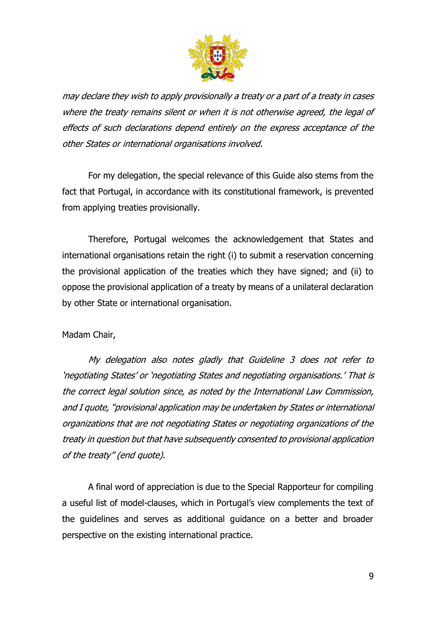

may declare they wish to apply provisionally a treaty or a part of a treaty in cases where the treaty remains silent or when it is not otherwise agreed, the legal of effects of such declarations depend entirely on the express acceptance of the other States or international organisations involved.

For my delegation, the special relevance of this Guide also stems from the fact that Portugal, in accordance with its constitutional framework, is prevented from applying treaties provisionally.

Therefore, Portugal welcomes the acknowledgement that States and international organisations retain the right (i) to submit a reservation concerning the provisional application of the treaties which they have signed; and (ii) to oppose the provisional application of a treaty by means of a unilateral declaration by other State or international organisation.

#### Madam Chair,

My delegation also notes gladly that Guideline 3 does not refer to 'negotiating States' or 'negotiating States and negotiating organisations.' That is the correct legal solution since, as noted by the International Law Commission, and I quote, "provisional application may be undertaken by States or international organizations that are not negotiating States or negotiating organizations of the treaty in question but that have subsequently consented to provisional application of the treaty" (end quote).

A final word of appreciation is due to the Special Rapporteur for compiling a useful list of model-clauses, which in Portugal's view complements the text of the guidelines and serves as additional guidance on a better and broader perspective on the existing international practice.